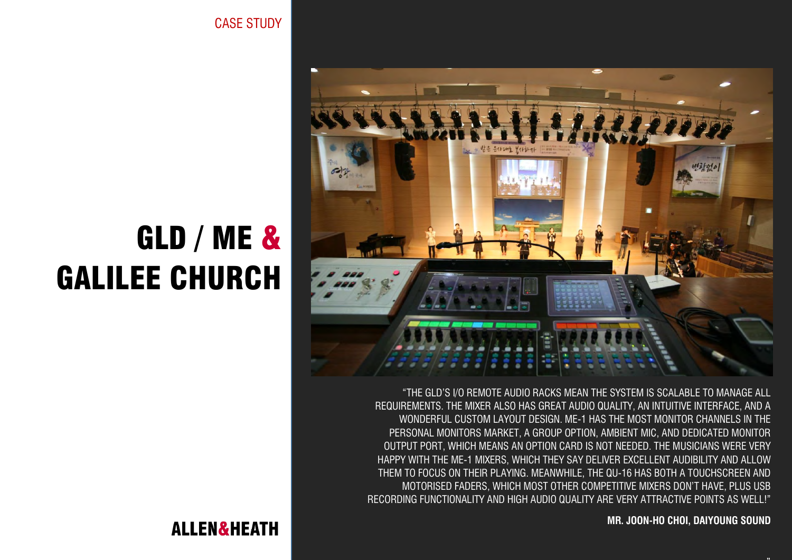CASE STUDY



"THE GLD'S I/O REMOTE AUDIO RACKS MEAN THE SYSTEM IS SCALABLE TO MANAGE ALL REQUIREMENTS. THE MIXER ALSO HAS GREAT AUDIO QUALITY, AN INTUITIVE INTERFACE, AND A WONDERFUL CUSTOM LAYOUT DESIGN. ME-1 HAS THE MOST MONITOR CHANNELS IN THE PERSONAL MONITORS MARKET, A GROUP OPTION, AMBIENT MIC, AND DEDICATED MONITOR OUTPUT PORT, WHICH MEANS AN OPTION CARD IS NOT NEEDED. THE MUSICIANS WERE VERY HAPPY WITH THE ME-1 MIXERS, WHICH THEY SAY DELIVER EXCELLENT AUDIBILITY AND ALLOW THEM TO FOCUS ON THEIR PLAYING. MEANWHILE, THE QU-16 HAS BOTH A TOUCHSCREEN AND MOTORISED FADERS, WHICH MOST OTHER COMPETITIVE MIXERS DON'T HAVE, PLUS USB RECORDING FUNCTIONALITY AND HIGH AUDIO QUALITY ARE VERY ATTRACTIVE POINTS AS WELL!"

**MR. JOON-HO CHOI, DAIYOUNG SOUND**

**TT** 

# GLD / ME & GALILEE CHURCH

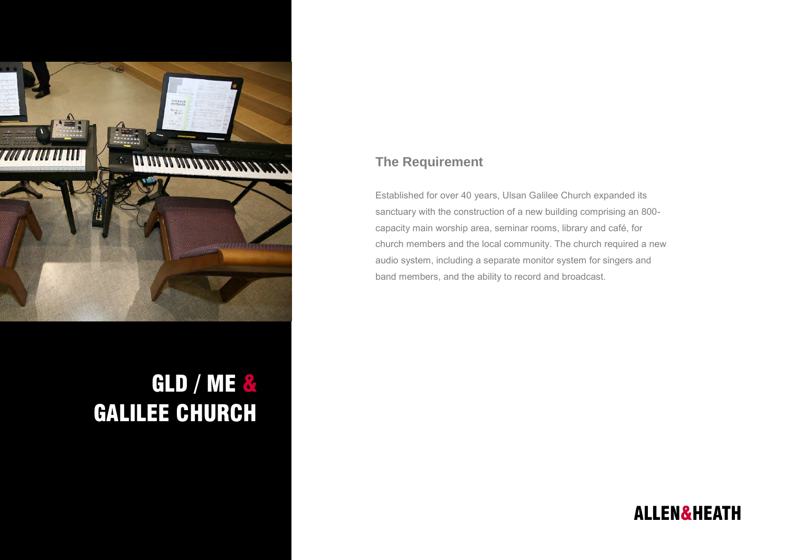

# GLD / ME & GALILEE CHURCH

#### **The Requirement**

Established for over 40 years, Ulsan Galilee Church expanded its sanctuary with the construction of a new building comprising an 800 capacity main worship area, seminar rooms, library and café, for church members and the local community. The church required a new audio system, including a separate monitor system for singers and band members, and the ability to record and broadcast.

## **ALLEN&HEATH**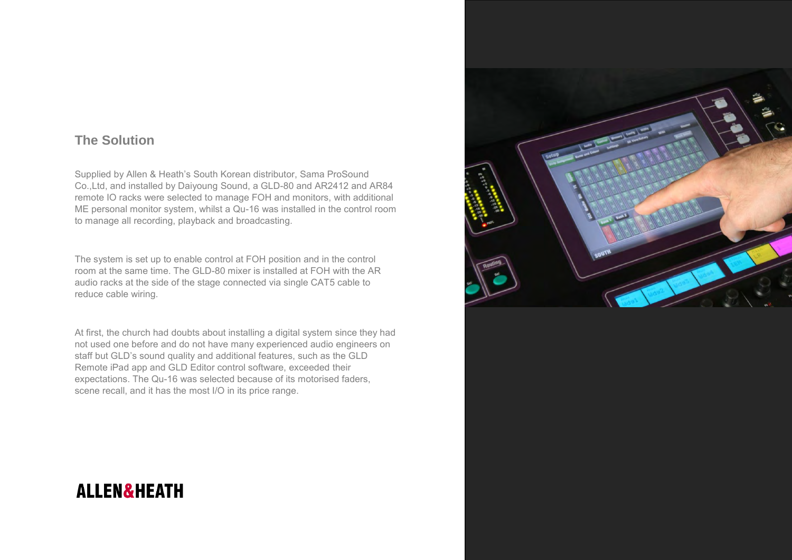#### **The Solution**

Supplied by Allen & Heath's South Korean distributor, Sama ProSound Co.,Ltd, and installed by Daiyoung Sound, a GLD-80 and AR2412 and AR84 remote IO racks were selected to manage FOH and monitors, with additional ME personal monitor system, whilst a Qu-16 was installed in the control room to manage all recording, playback and broadcasting.

The system is set up to enable control at FOH position and in the control room at the same time. The GLD-80 mixer is installed at FOH with the AR audio racks at the side of the stage connected via single CAT5 cable to reduce cable wiring.

At first, the church had doubts about installing a digital system since they had not used one before and do not have many experienced audio engineers on staff but GLD's sound quality and additional features, such as the GLD Remote iPad app and GLD Editor control software, exceeded their expectations. The Qu-16 was selected because of its motorised faders, scene recall, and it has the most I/O in its price range.



### **ALLEN&HEATH**